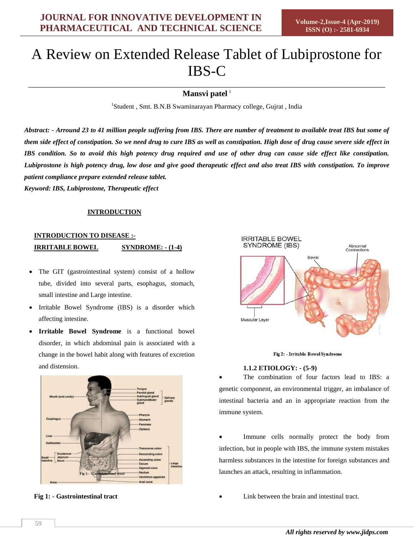# A Review on Extended Release Tablet of Lubiprostone for IBS-C

\_\_\_\_\_\_\_\_\_\_\_\_\_\_\_\_\_\_\_\_\_\_\_\_\_\_\_\_\_\_\_\_\_\_\_\_\_\_\_\_\_\_\_\_\_\_\_\_\_\_\_\_\_\_\_\_\_\_\_\_\_\_\_\_\_\_\_\_\_\_\_\_\_\_\_\_\_\_\_\_\_\_\_\_\_\_\_\_ Mansvi patel<sup>1</sup>

<sup>1</sup>Student, Smt. B.N.B Swaminarayan Pharmacy college, Gujrat, India

*Abstract: - Arround 23 to 41 million people suffering from IBS. There are number of treatment to available treat IBS but some of them side effect of constipation. So we need drug to cure IBS as well as constipation. High dose of drug cause severe side effect in IBS condition. So to avoid this high potency drug required and use of other drug can cause side effect like constipation. Lubiprostone is high potency drug, low dose and give good therapeutic effect and also treat IBS with constipation. To improve patient compliance prepare extended release tablet.*

*Keyword: IBS, Lubiprostone, Therapeutic effect*

# **INTRODUCTION**

# **INTRODUCTION TO DISEASE :- IRRITABLE BOWEL SYNDROME: - (1-4)**

- The GIT (gastrointestinal system) consist of a hollow tube, divided into several parts, esophagus, stomach, small intestine and Large intestine.
- Irritable Bowel Syndrome (IBS) is a disorder which affecting intestine.
- **Irritable Bowel Syndrome** is a functional bowel disorder, in which abdominal pain is associated with a change in the bowel habit along with features of excretion and distension.



**Fig 1: - Gastrointestinal tract**



#### Fig 2: - Irritable Bowel Syndrome

# **1.1.2 ETIOLOGY: - (5-9)**

 The combination of four factors lead to IBS: a genetic component, an environmental trigger, an imbalance of intestinal bacteria and an in appropriate reaction from the immune system.

 Immune cells normally protect the body from infection, but in people with IBS, the immune system mistakes harmless substances in the intestine for foreign substances and launches an attack, resulting in inflammation.

Link between the brain and intestinal tract.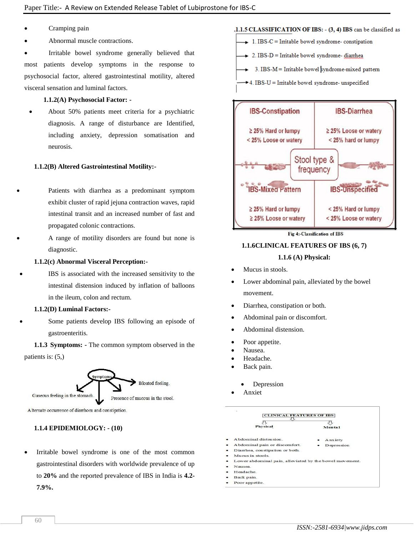- Cramping pain
- Abnormal muscle contractions.

 Irritable bowel syndrome generally believed that most patients develop symptoms in the response to psychosocial factor, altered gastrointestinal motility, altered visceral sensation and luminal factors.

# **1.1.2(A) Psychosocial Factor: -**

 About 50% patients meet criteria for a psychiatric diagnosis. A range of disturbance are Identified, including anxiety, depression somatisation and neurosis.

#### **1.1.2(B) Altered Gastrointestinal Motility:-**

- Patients with diarrhea as a predominant symptom exhibit cluster of rapid jejuna contraction waves, rapid intestinal transit and an increased number of fast and propagated colonic contractions.
- A range of motility disorders are found but none is diagnostic.

#### **1.1.2(c) Abnormal Visceral Perception:-**

 IBS is associated with the increased sensitivity to the intestinal distension induced by inflation of balloons in the ileum, colon and rectum.

#### **1.1.2(D) Luminal Factors:-**

 Some patients develop IBS following an episode of gastroenteritis.

**1.1.3 Symptoms: -** The common symptom observed in the patients is: (5,)



A Iternate occurrence of diarrhoea and constipation.

# **1.1.4 EPIDEMIOLOGY: - (10)**

 Irritable bowel syndrome is one of the most common gastrointestinal disorders with worldwide prevalence of up to **20%** and the reported prevalence of IBS in India is **4.2- 7.9%.**

# .1.1.5 CLASSIFICATION OF IBS: - (3, 4) IBS can be classified as

- $\rightarrow$  1. IBS-C = Irritable bowel syndrome- constipation
- $\div$  2. IBS-D = Irritable bowel syndrome-diarrhea

3. IBS-M = Irritable bowel syndrome-mixed pattern

+4. IBS-U = Irritable bowel syndrome- unspecified



Fig 4:-Classification of IBS

# **1.1.6CLINICAL FEATURES OF IBS (6, 7)**

#### **1.1.6 (A) Physical:**

- Mucus in stools.
- Lower abdominal pain, alleviated by the bowel movement.
- Diarrhea, constipation or both.
- Abdominal pain or discomfort.
- Abdominal distension.
- Poor appetite.
- Nausea.
- Headache.
- Back pain.
	- Depression
- Anxiet



- 
- Back pain
- Poor appetite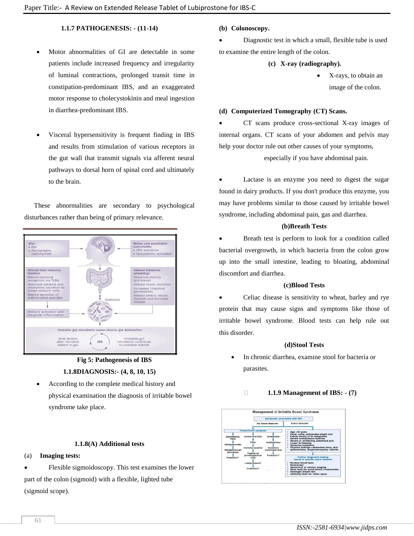# **1.1.7 PATHOGENESIS: - (11-14)**

- Motor abnormalities of GI are detectable in some patients include increased frequency and irregularity of luminal contractions, prolonged transit time in constipation-predominant IBS, and an exaggerated motor response to cholecystokinin and meal ingestion in diarrhea-predominant IBS.
- Visceral hypersensitivity is frequent finding in IBS and results from stimulation of various receptors in the gut wall that transmit signals via afferent neural pathways to dorsal horn of spinal cord and ultimately to the brain.

These abnormalities are secondary to psychological disturbances rather than being of primary relevance.



**Fig 5: Pathogenesis of IBS 1.1.8DIAGNOSIS:- (4, 8, 10, 15)**

 According to the complete medical history and physical examination the diagnosis of irritable bowel syndrome take place.

#### **1.1.8(A) Additional tests**

# (a) **Imaging tests:**

 Flexible sigmoidoscopy. This test examines the lower part of the colon (sigmoid) with a flexible, lighted tube (sigmoid scope).

#### **(b) Colonoscopy.**

- Diagnostic test in which a small, flexible tube is used to examine the entire length of the colon.
	- **(c) X-ray (radiography).**
		- X-rays, to obtain an image of the colon.

#### **(d) Computerized Tomography (CT) Scans.**

 CT scans produce cross-sectional X-ray images of internal organs. CT scans of your abdomen and pelvis may help your doctor rule out other causes of your symptoms,

especially if you have abdominal pain.

 Lactase is an enzyme you need to digest the sugar found in dairy products. If you don't produce this enzyme, you may have problems similar to those caused by irritable bowel syndrome, including abdominal pain, gas and diarrhea.

#### **(b)Breath Tests**

 Breath test is perform to look for a condition called bacterial overgrowth, in which bacteria from the colon grow up into the small intestine, leading to bloating, abdominal discomfort and diarrhea.

#### **(c)Blood Tests**

 Celiac disease is sensitivity to wheat, barley and rye protein that may cause signs and symptoms like those of irritable bowel syndrome. Blood tests can help rule out this disorder.

#### **(d)Stool Tests**

 In chronic diarrhea, examine stool for bacteria or parasites.

#### **1.1.9 Management of IBS: - (7)**

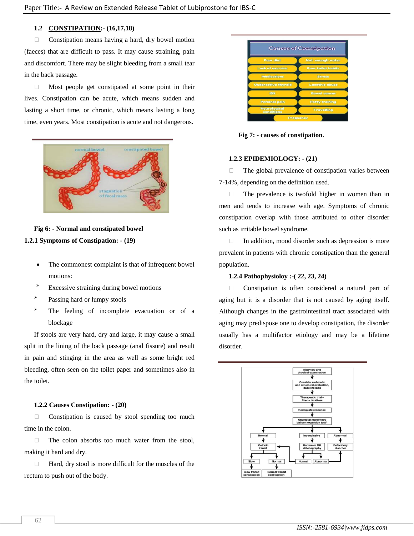# **1.2 CONSTIPATION:- (16,17,18)**

 $\Box$  Constipation means having a hard, dry bowel motion (faeces) that are difficult to pass. It may cause straining, pain and discomfort. There may be slight bleeding from a small tear in the back passage.

 $\Box$  Most people get constipated at some point in their lives. Constipation can be acute, which means sudden and lasting a short time, or chronic, which means lasting a long time, even years. Most constipation is acute and not dangerous.



#### **Fig 6: - Normal and constipated bowel**

#### **1.2.1 Symptoms of Constipation: - (19)**

- The commonest complaint is that of infrequent bowel motions:
- $\overrightarrow{P}$  Excessive straining during bowel motions
- > Passing hard or lumpy stools
- The feeling of incomplete evacuation or of a blockage

If stools are very hard, dry and large, it may cause a small split in the lining of the back passage (anal fissure) and result in pain and stinging in the area as well as some bright red bleeding, often seen on the toilet paper and sometimes also in the toilet.

#### **1.2.2 Causes Constipation: - (20)**

 $\Box$  Constipation is caused by stool spending too much time in the colon.

 $\Box$  The colon absorbs too much water from the stool, making it hard and dry.

 $\Box$  Hard, dry stool is more difficult for the muscles of the rectum to push out of the body.



**Fig 7: - causes of constipation.**

#### **1.2.3 EPIDEMIOLOGY: - (21)**

 $\Box$  The global prevalence of constipation varies between 7-14%, depending on the definition used.

 $\Box$  The prevalence is twofold higher in women than in men and tends to increase with age. Symptoms of chronic constipation overlap with those attributed to other disorder such as irritable bowel syndrome.

 $\Box$  In addition, mood disorder such as depression is more prevalent in patients with chronic constipation than the general population.

#### **1.2.4 Pathophysioloy :-( 22, 23, 24)**

 Constipation is often considered a natural part of aging but it is a disorder that is not caused by aging itself. Although changes in the gastrointestinal tract associated with aging may predispose one to develop constipation, the disorder usually has a multifactor etiology and may be a lifetime disorder.

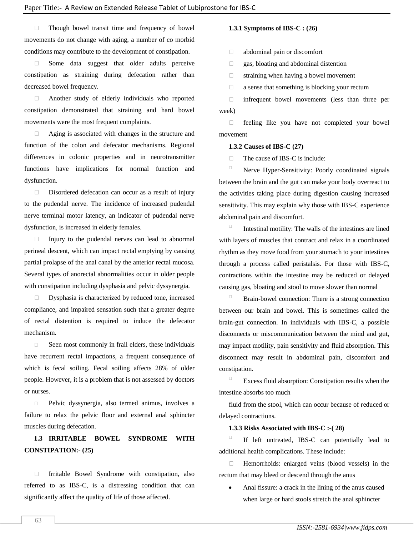Though bowel transit time and frequency of bowel movements do not change with aging, a number of co morbid conditions may contribute to the development of constipation.

Some data suggest that older adults perceive constipation as straining during defecation rather than decreased bowel frequency.

 Another study of elderly individuals who reported constipation demonstrated that straining and hard bowel movements were the most frequent complaints.

 Aging is associated with changes in the structure and function of the colon and defecator mechanisms. Regional differences in colonic properties and in neurotransmitter functions have implications for normal function and dysfunction.

Disordered defecation can occur as a result of injury to the pudendal nerve. The incidence of increased pudendal nerve terminal motor latency, an indicator of pudendal nerve dysfunction, is increased in elderly females.

 $\Box$  Injury to the pudendal nerves can lead to abnormal perineal descent, which can impact rectal emptying by causing partial prolapse of the anal canal by the anterior rectal mucosa. Several types of anorectal abnormalities occur in older people with constipation including dysphasia and pelvic dyssynergia.

 Dysphasia is characterized by reduced tone, increased compliance, and impaired sensation such that a greater degree of rectal distention is required to induce the defecator mechanism.

 $\Box$  Seen most commonly in frail elders, these individuals have recurrent rectal impactions, a frequent consequence of which is fecal soiling. Fecal soiling affects 28% of older people. However, it is a problem that is not assessed by doctors or nurses.

 Pelvic dyssynergia, also termed animus, involves a failure to relax the pelvic floor and external anal sphincter muscles during defecation.

# **1.3 IRRITABLE BOWEL SYNDROME WITH CONSTIPATION:- (25)**

 Irritable Bowel Syndrome with constipation, also referred to as IBS-C, is a distressing condition that can significantly affect the quality of life of those affected.

# **1.3.1 Symptoms of IBS-C : (26)**

abdominal pain or discomfort

gas, bloating and abdominal distention

 $\Box$  straining when having a bowel movement

 $\Box$  a sense that something is blocking your rectum

 infrequent bowel movements (less than three per week)

 $\Box$  feeling like you have not completed your bowel movement

#### **1.3.2 Causes of IBS-C (27)**

 $\Box$  The cause of IBS-C is include:

 Nerve Hyper-Sensitivity: Poorly coordinated signals between the brain and the gut can make your body overreact to the activities taking place during digestion causing increased sensitivity. This may explain why those with IBS-C experience abdominal pain and discomfort.

 Intestinal motility: The walls of the intestines are lined with layers of muscles that contract and relax in a coordinated rhythm as they move food from your stomach to your intestines through a process called peristalsis. For those with IBS-C, contractions within the intestine may be reduced or delayed causing gas, bloating and stool to move slower than normal

 $\Box$  Brain-bowel connection: There is a strong connection between our brain and bowel. This is sometimes called the brain-gut connection. In individuals with IBS-C, a possible disconnects or miscommunication between the mind and gut, may impact motility, pain sensitivity and fluid absorption. This disconnect may result in abdominal pain, discomfort and constipation.

Excess fluid absorption: Constipation results when the intestine absorbs too much

fluid from the stool, which can occur because of reduced or delayed contractions.

#### **1.3.3 Risks Associated with IBS-C :-( 28)**

 If left untreated, IBS-C can potentially lead to additional health complications. These include:

 $\Box$  Hemorrhoids: enlarged veins (blood vessels) in the rectum that may bleed or descend through the anus

 Anal fissure: a crack in the lining of the anus caused when large or hard stools stretch the anal sphincter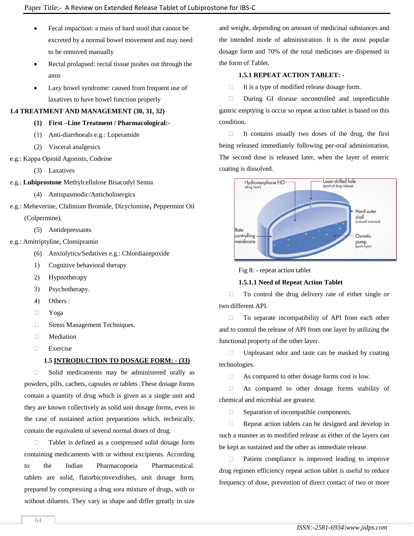- Fecal impaction: a mass of hard stool that cannot be excreted by a normal bowel movement and may need to be removed manually
- Rectal prolapsed: rectal tissue pushes out through the anus
- Lazy bowel syndrome: caused from frequent use of laxatives to have bowel function properly

# **1.4 TREATMENT AND MANAGEMENT (30, 31, 32)**

- **(1) First –Line Treatment / Pharmacological:-**
- (1) Anti-diarrhoeals e.g.: Loperamide
- (2) Visceral analgesics
- e.g.: Kappa Opioid Agonists, Codeine
	- (3) Laxatives
- e.g.: **Lubiprostone** Methylcellulose Bisacodyl Senna
	- (4) Antispasmodic/Anticholinergics
- e.g.: Mebeverine, Clidinium Bromide, Dicyclomine**,** Peppermint Oil (Colpermine).
	- (5) Antidepressants
- e.g.: Amitriptyline, Clomipramin
	- (6) Anxiolytics/Sedatives e.g.: Chlordiazepoxide
	- 1) Cognitive behavioral therapy
	- 2) Hypnotherapy
	- 3) Psychotherapy.
	- 4) Others :
	- Yoga
	- **Stress Management Techniques.**
	- **Nediation**
	- Exercise

# **1.5 INTRODUCTION TO DOSAGE FORM: - (33)**

 Solid medicaments may be administered orally as powders, pills, cachets, capsules or tablets .These dosage forms contain a quantity of drug which is given as a single unit and they are known collectively as solid unit dosage forms, even in the case of sustained action preparations which, technically, contain the equivalent of several normal doses of drug.

 Tablet is defined as a compressed solid dosage form containing medicaments with or without excipients. According to the Indian Pharmacopoeia Pharmaceutical. tablets are solid, flatorbiconvexdishes, unit dosage form, prepared by compressing a drug sora mixture of drugs, with or without diluents. They vary in shape and differ greatly in size

and weight, depending on amount of medicinal substances and the intended mode of administration. It is the most popular dosage form and 70% of the total medicines are dispensed in the form of Tablet.

# **1.5.1 REPEAT ACTION TABLET: -**

 $\Box$  It is a type of modified release dosage form.

During GI disease uncontrolled and unpredictable gastric emptying is occur so repeat action tablet is based on this condition.

 $\Box$  It contains usually two doses of the drug, the first being released immediately following per-oral administration. The second dose is released later, when the layer of enteric coating is dissolved.



Fig 8: - repeat action tablet

# **1.5.1.1 Need of Repeat Action Tablet**

 To control the drug delivery rate of either single or two different API.

 $\Box$  To separate incompatibility of API from each other and to control the release of API from one layer by utilizing the functional property of the other layer.

 $\Box$  Unpleasant odor and taste can be masked by coating technologies.

As compared to other dosage forms cost is low.

 As compared to other dosage forms stability of chemical and microbial are greatest.

□ Separation of incompatible components.

 $\Box$  Repeat action tablets can be designed and develop in such a manner as to modified release as either of the layers can be kept as sustained and the other as immediate release.

 $\Box$  Patient compliance is improved leading to improve drug regimen efficiency repeat action tablet is useful to reduce frequency of dose, prevention of direct contact of two or more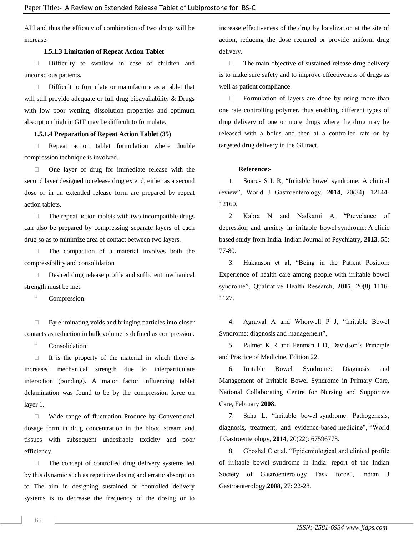API and thus the efficacy of combination of two drugs will be increase.

#### **1.5.1.3 Limitation of Repeat Action Tablet**

 Difficulty to swallow in case of children and unconscious patients.

 $\Box$  Difficult to formulate or manufacture as a tablet that will still provide adequate or full drug bioavailability & Drugs with low poor wetting, dissolution properties and optimum absorption high in GIT may be difficult to formulate.

#### **1.5.1.4 Preparation of Repeat Action Tablet (35)**

**Example 2** Repeat action tablet formulation where double compression technique is involved.

 $\Box$  One layer of drug for immediate release with the second layer designed to release drug extend, either as a second dose or in an extended release form are prepared by repeat action tablets.

 $\Box$  The repeat action tablets with two incompatible drugs can also be prepared by compressing separate layers of each drug so as to minimize area of contact between two layers.

 $\Box$  The compaction of a material involves both the compressibility and consolidation

 Desired drug release profile and sufficient mechanical strength must be met.

Compression:

 $\Box$  By eliminating voids and bringing particles into closer contacts as reduction in bulk volume is defined as compression.

 $\Box$  Consolidation:

 $\Box$  It is the property of the material in which there is increased mechanical strength due to interparticulate interaction (bonding). A major factor influencing tablet delamination was found to be by the compression force on layer 1.

 Wide range of fluctuation Produce by Conventional dosage form in drug concentration in the blood stream and tissues with subsequent undesirable toxicity and poor efficiency.

 $\Box$  The concept of controlled drug delivery systems led by this dynamic such as repetitive dosing and erratic absorption to The aim in designing sustained or controlled delivery systems is to decrease the frequency of the dosing or to

increase effectiveness of the drug by localization at the site of action, reducing the dose required or provide uniform drug delivery.

 $\Box$  The main objective of sustained release drug delivery is to make sure safety and to improve effectiveness of drugs as well as patient compliance.

 $\Box$  Formulation of layers are done by using more than one rate controlling polymer, thus enabling different types of drug delivery of one or more drugs where the drug may be released with a bolus and then at a controlled rate or by targeted drug delivery in the GI tract.

#### **Reference:-**

1. Soares S L R, "Irritable bowel syndrome: A clinical review", World J Gastroenterology, **2014**, 20(34): 12144- 12160.

2. Kabra N and Nadkarni A, "Prevelance of depression and anxiety in irritable bowel syndrome: A clinic based study from India. Indian Journal of Psychiatry, **2013**, 55: 77-80.

3. Hakanson et al, "Being in the Patient Position: Experience of health care among people with irritable bowel syndrome", Qualitative Health Research, **2015**, 20(8) 1116- 1127.

4. Agrawal A and Whorwell P J, "Irritable Bowel Syndrome: diagnosis and management",

5. Palmer K R and Penman I D, Davidson's Principle and Practice of Medicine, Edition 22,

6. Irritable Bowel Syndrome: Diagnosis and Management of Irritable Bowel Syndrome in Primary Care, National Collaborating Centre for Nursing and Supportive Care, February **2008**.

7. Saha L, "Irritable bowel syndrome: Pathogenesis, diagnosis, treatment, and evidence-based medicine", "World J Gastroenterology, **2014**, 20(22): 67596773.

8. Ghoshal C et al, "Epidemiological and clinical profile of irritable bowel syndrome in India: report of the Indian Society of Gastroenterology Task force", Indian J Gastroenterology,**2008**, 27: 22-28.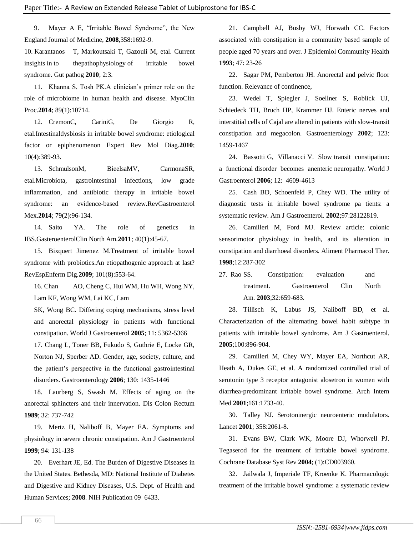9. Mayer A E, "Irritable Bowel Syndrome", the New England Journal of Medicine, **2008**,358:1692-9.

10. Karantanos T, Markoutsaki T, Gazouli M, etal. Current insights in to thepathophysiology of irritable bowel syndrome. Gut pathog **2010**; 2:3.

11. Khanna S, Tosh PK.A clinician's primer role on the role of microbiome in human health and disease. MyoClin Proc.**2014**; 89(1):10714.

12. CremonC, CariniG, De Giorgio R, etal.Intestinaldysbiosis in irritable bowel syndrome: etiological factor or epiphenomenon Expert Rev Mol Diag.**2010**; 10(4):389-93.

13. SchmulsonM, BieelsaMV, CarmonaSR, etal.Microbiota, gastrointestinal infections, low grade inflammation, and antibiotic therapy in irritable bowel syndrome: an evidence-based review.RevGastroenterol Mex.**2014**; 79(2):96-134.

14. Saito YA. The role of genetics in IBS.GasteroenterolClin North Am.**2011**; 40(1):45-67.

15. Bixquert Jimenez M.Treatment of irritable bowel syndrome with probiotics.An etiopathogenic approach at last? RevEspEnferm Dig.**2009**; 101(8):553-64.

16. Chan AO, Cheng C, Hui WM, Hu WH, Wong NY, Lam KF, Wong WM, Lai KC, Lam

SK, Wong BC. Differing coping mechanisms, stress level and anorectal physiology in patients with functional constipation. World J Gastroenterol **2005**; 11: 5362-5366

17. Chang L, Toner BB, Fukudo S, Guthrie E, Locke GR, Norton NJ, Sperber AD. Gender, age, society, culture, and the patient's perspective in the functional gastrointestinal disorders. Gastroenterology **2006**; 130: 1435-1446

18. Laurberg S, Swash M. Effects of aging on the anorectal sphincters and their innervation. Dis Colon Rectum **1989**; 32: 737-742

19. Mertz H, Naliboff B, Mayer EA. Symptoms and physiology in severe chronic constipation. Am J Gastroenterol **1999**; 94: 131-138

20. Everhart JE, Ed. The Burden of Digestive Diseases in the United States. Bethesda, MD: National Institute of Diabetes and Digestive and Kidney Diseases, U.S. Dept. of Health and Human Services; **2008**. NIH Publication 09–6433.

21. Campbell AJ, Busby WJ, Horwath CC. Factors associated with constipation in a community based sample of people aged 70 years and over. J Epidemiol Community Health **1993**; 47: 23-26

22. Sagar PM, Pemberton JH. Anorectal and pelvic floor function. Relevance of continence,

23. Wedel T, Spiegler J, Soellner S, Roblick UJ, Schiedeck TH, Bruch HP, Krammer HJ. Enteric nerves and interstitial cells of Cajal are altered in patients with slow-transit constipation and megacolon. Gastroenterology **2002**; 123: 1459-1467

24. Bassotti G, Villanacci V. Slow transit constipation: a functional disorder becomes anenteric neuropathy. World J Gastroenterol **2006**; 12: 4609-4613

25. Cash BD, Schoenfeld P, Chey WD. The utility of diagnostic tests in irritable bowel syndrome pa tients: a systematic review. Am J Gastroenterol. **2002**;97:28122819.

26. Camilleri M, Ford MJ. Review article: colonic sensorimotor physiology in health, and its alteration in constipation and diarrhoeal disorders. Aliment Pharmacol Ther. **1998**;12:287-302

27. Rao SS. Constipation: evaluation and treatment. Gastroenterol Clin North Am. **2003**;32:659-683.

28. Tillisch K, Labus JS, Naliboff BD, et al. Characterization of the alternating bowel habit subtype in patients with irritable bowel syndrome. Am J Gastroenterol. **2005**;100:896-904.

29. Camilleri M, Chey WY, Mayer EA, Northcut AR, Heath A, Dukes GE, et al. A randomized controlled trial of serotonin type 3 receptor antagonist alosetron in women with diarrhea-predominant irritable bowel syndrome. Arch Intern Med **2001**;161:1733-40.

30. Talley NJ. Serotoninergic neuroenteric modulators. Lancet **2001**; 358:2061-8.

31. Evans BW, Clark WK, Moore DJ, Whorwell PJ. Tegaserod for the treatment of irritable bowel syndrome. Cochrane Database Syst Rev **2004**; (1):CD003960.

32. Jailwala J, Imperiale TF, Kroenke K. Pharmacologic treatment of the irritable bowel syndrome: a systematic review